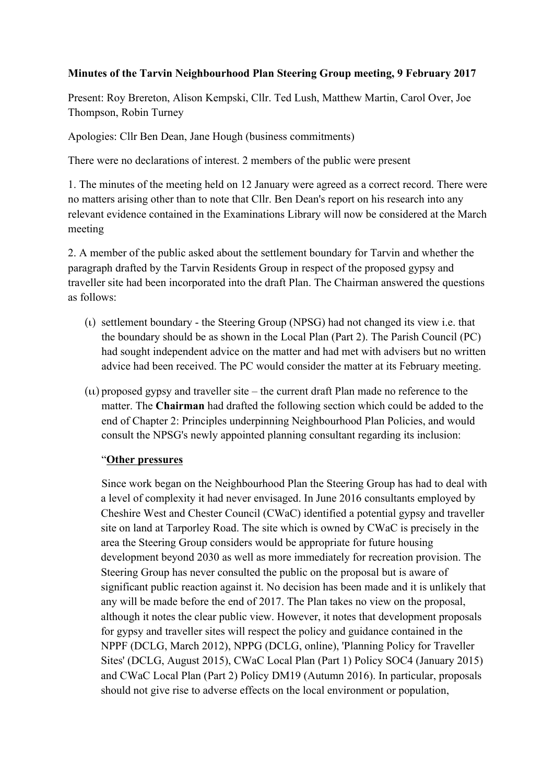## **Minutes of the Tarvin Neighbourhood Plan Steering Group meeting, 9 February 2017**

Present: Roy Brereton, Alison Kempski, Cllr. Ted Lush, Matthew Martin, Carol Over, Joe Thompson, Robin Turney

Apologies: Cllr Ben Dean, Jane Hough (business commitments)

There were no declarations of interest. 2 members of the public were present

1. The minutes of the meeting held on 12 January were agreed as a correct record. There were no matters arising other than to note that Cllr. Ben Dean's report on his research into any relevant evidence contained in the Examinations Library will now be considered at the March meeting

2. A member of the public asked about the settlement boundary for Tarvin and whether the paragraph drafted by the Tarvin Residents Group in respect of the proposed gypsy and traveller site had been incorporated into the draft Plan. The Chairman answered the questions as follows:

- (ι) settlement boundary the Steering Group (NPSG) had not changed its view i.e. that the boundary should be as shown in the Local Plan (Part 2). The Parish Council (PC) had sought independent advice on the matter and had met with advisers but no written advice had been received. The PC would consider the matter at its February meeting.
- (ιι) proposed gypsy and traveller site the current draft Plan made no reference to the matter. The **Chairman** had drafted the following section which could be added to the end of Chapter 2: Principles underpinning Neighbourhood Plan Policies, and would consult the NPSG's newly appointed planning consultant regarding its inclusion:

## "**Other pressures**

Since work began on the Neighbourhood Plan the Steering Group has had to deal with a level of complexity it had never envisaged. In June 2016 consultants employed by Cheshire West and Chester Council (CWaC) identified a potential gypsy and traveller site on land at Tarporley Road. The site which is owned by CWaC is precisely in the area the Steering Group considers would be appropriate for future housing development beyond 2030 as well as more immediately for recreation provision. The Steering Group has never consulted the public on the proposal but is aware of significant public reaction against it. No decision has been made and it is unlikely that any will be made before the end of 2017. The Plan takes no view on the proposal, although it notes the clear public view. However, it notes that development proposals for gypsy and traveller sites will respect the policy and guidance contained in the NPPF (DCLG, March 2012), NPPG (DCLG, online), 'Planning Policy for Traveller Sites' (DCLG, August 2015), CWaC Local Plan (Part 1) Policy SOC4 (January 2015) and CWaC Local Plan (Part 2) Policy DM19 (Autumn 2016). In particular, proposals should not give rise to adverse effects on the local environment or population,